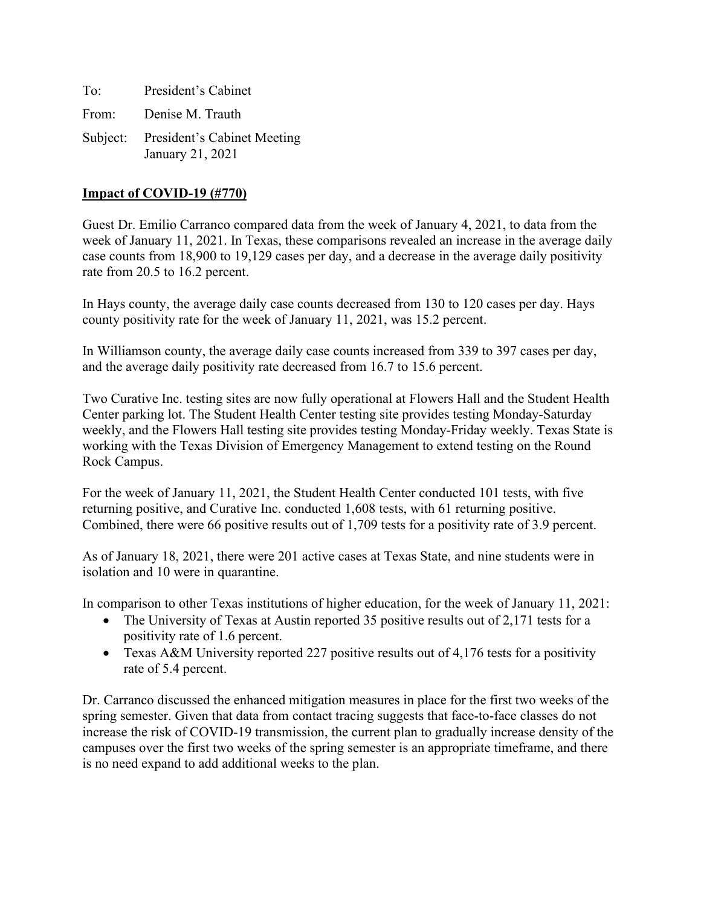| To: | President's Cabinet                                      |
|-----|----------------------------------------------------------|
|     | From: Denise M. Trauth                                   |
|     | Subject: President's Cabinet Meeting<br>January 21, 2021 |

## **Impact of COVID-19 (#770)**

Guest Dr. Emilio Carranco compared data from the week of January 4, 2021, to data from the week of January 11, 2021. In Texas, these comparisons revealed an increase in the average daily case counts from 18,900 to 19,129 cases per day, and a decrease in the average daily positivity rate from 20.5 to 16.2 percent.

In Hays county, the average daily case counts decreased from 130 to 120 cases per day. Hays county positivity rate for the week of January 11, 2021, was 15.2 percent.

In Williamson county, the average daily case counts increased from 339 to 397 cases per day, and the average daily positivity rate decreased from 16.7 to 15.6 percent.

Two Curative Inc. testing sites are now fully operational at Flowers Hall and the Student Health Center parking lot. The Student Health Center testing site provides testing Monday-Saturday weekly, and the Flowers Hall testing site provides testing Monday-Friday weekly. Texas State is working with the Texas Division of Emergency Management to extend testing on the Round Rock Campus.

For the week of January 11, 2021, the Student Health Center conducted 101 tests, with five returning positive, and Curative Inc. conducted 1,608 tests, with 61 returning positive. Combined, there were 66 positive results out of 1,709 tests for a positivity rate of 3.9 percent.

As of January 18, 2021, there were 201 active cases at Texas State, and nine students were in isolation and 10 were in quarantine.

In comparison to other Texas institutions of higher education, for the week of January 11, 2021:

- The University of Texas at Austin reported 35 positive results out of 2,171 tests for a positivity rate of 1.6 percent.
- Texas A&M University reported 227 positive results out of 4,176 tests for a positivity rate of 5.4 percent.

Dr. Carranco discussed the enhanced mitigation measures in place for the first two weeks of the spring semester. Given that data from contact tracing suggests that face-to-face classes do not increase the risk of COVID-19 transmission, the current plan to gradually increase density of the campuses over the first two weeks of the spring semester is an appropriate timeframe, and there is no need expand to add additional weeks to the plan.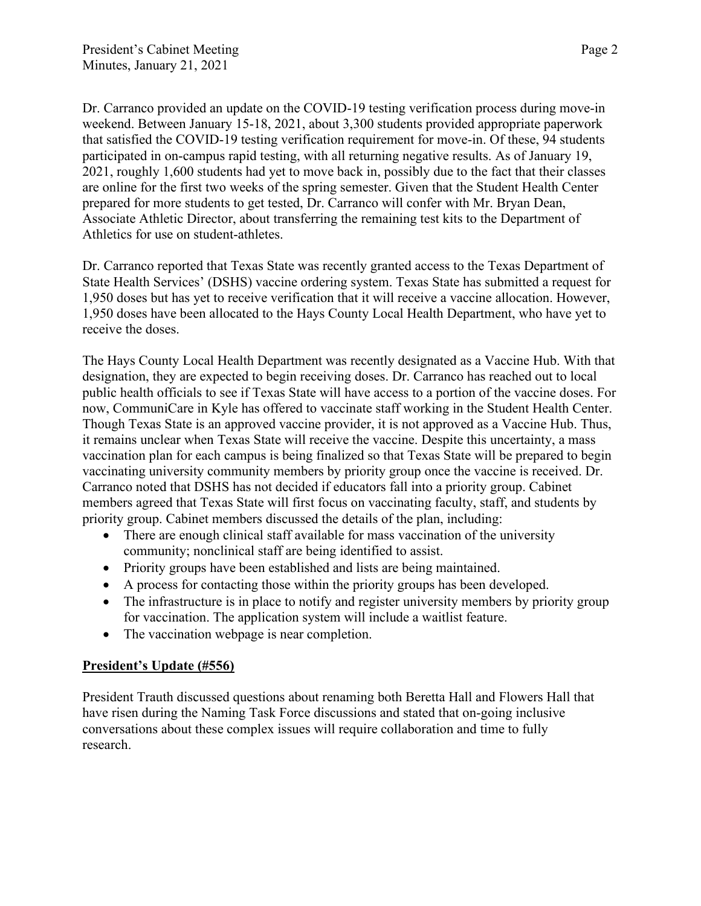Dr. Carranco provided an update on the COVID-19 testing verification process during move-in weekend. Between January 15-18, 2021, about 3,300 students provided appropriate paperwork that satisfied the COVID-19 testing verification requirement for move-in. Of these, 94 students participated in on-campus rapid testing, with all returning negative results. As of January 19, 2021, roughly 1,600 students had yet to move back in, possibly due to the fact that their classes are online for the first two weeks of the spring semester. Given that the Student Health Center prepared for more students to get tested, Dr. Carranco will confer with Mr. Bryan Dean, Associate Athletic Director, about transferring the remaining test kits to the Department of Athletics for use on student-athletes.

Dr. Carranco reported that Texas State was recently granted access to the Texas Department of State Health Services' (DSHS) vaccine ordering system. Texas State has submitted a request for 1,950 doses but has yet to receive verification that it will receive a vaccine allocation. However, 1,950 doses have been allocated to the Hays County Local Health Department, who have yet to receive the doses.

The Hays County Local Health Department was recently designated as a Vaccine Hub. With that designation, they are expected to begin receiving doses. Dr. Carranco has reached out to local public health officials to see if Texas State will have access to a portion of the vaccine doses. For now, CommuniCare in Kyle has offered to vaccinate staff working in the Student Health Center. Though Texas State is an approved vaccine provider, it is not approved as a Vaccine Hub. Thus, it remains unclear when Texas State will receive the vaccine. Despite this uncertainty, a mass vaccination plan for each campus is being finalized so that Texas State will be prepared to begin vaccinating university community members by priority group once the vaccine is received. Dr. Carranco noted that DSHS has not decided if educators fall into a priority group. Cabinet members agreed that Texas State will first focus on vaccinating faculty, staff, and students by priority group. Cabinet members discussed the details of the plan, including:

- There are enough clinical staff available for mass vaccination of the university community; nonclinical staff are being identified to assist.
- Priority groups have been established and lists are being maintained.
- A process for contacting those within the priority groups has been developed.
- The infrastructure is in place to notify and register university members by priority group for vaccination. The application system will include a waitlist feature.
- The vaccination webpage is near completion.

## **President's Update (#556)**

President Trauth discussed questions about renaming both Beretta Hall and Flowers Hall that have risen during the Naming Task Force discussions and stated that on-going inclusive conversations about these complex issues will require collaboration and time to fully research.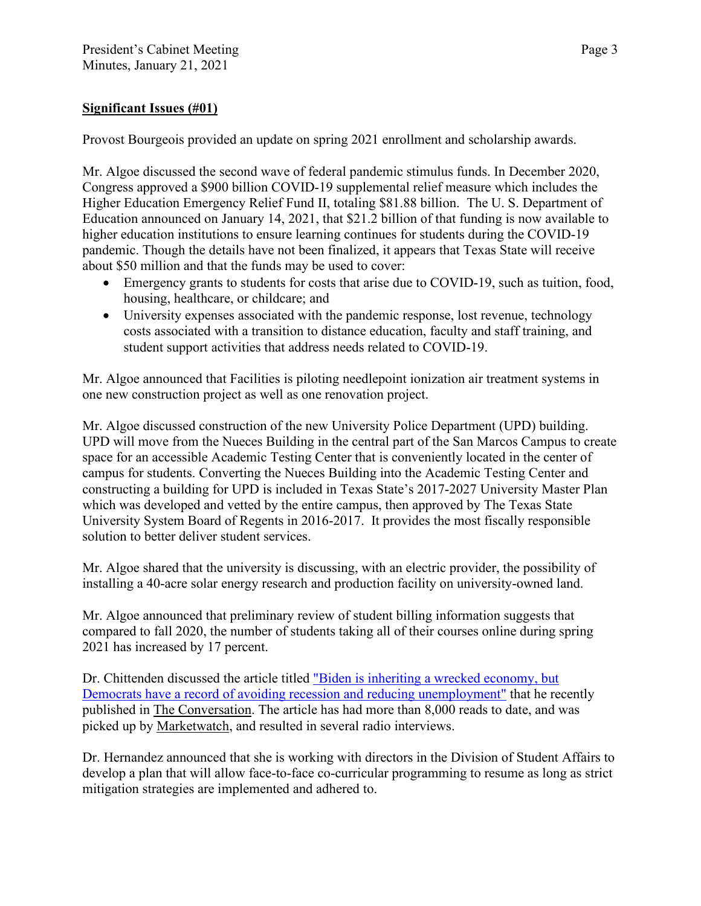## **Significant Issues (#01)**

Provost Bourgeois provided an update on spring 2021 enrollment and scholarship awards.

Mr. Algoe discussed the second wave of federal pandemic stimulus funds. In December 2020, Congress approved a \$900 billion COVID-19 supplemental relief measure which includes the Higher Education Emergency Relief Fund II, totaling \$81.88 billion. The U. S. Department of Education announced on January 14, 2021, that \$21.2 billion of that funding is now available to higher education institutions to ensure learning continues for students during the COVID-19 pandemic. Though the details have not been finalized, it appears that Texas State will receive about \$50 million and that the funds may be used to cover:

- Emergency grants to students for costs that arise due to COVID-19, such as tuition, food, housing, healthcare, or childcare; and
- University expenses associated with the pandemic response, lost revenue, technology costs associated with a transition to distance education, faculty and staff training, and student support activities that address needs related to COVID-19.

Mr. Algoe announced that Facilities is piloting needlepoint ionization air treatment systems in one new construction project as well as one renovation project.

Mr. Algoe discussed construction of the new University Police Department (UPD) building. UPD will move from the Nueces Building in the central part of the San Marcos Campus to create space for an accessible Academic Testing Center that is conveniently located in the center of campus for students. Converting the Nueces Building into the Academic Testing Center and constructing a building for UPD is included in Texas State's 2017-2027 University Master Plan which was developed and vetted by the entire campus, then approved by The Texas State University System Board of Regents in 2016-2017. It provides the most fiscally responsible solution to better deliver student services.

Mr. Algoe shared that the university is discussing, with an electric provider, the possibility of installing a 40-acre solar energy research and production facility on university-owned land.

Mr. Algoe announced that preliminary review of student billing information suggests that compared to fall 2020, the number of students taking all of their courses online during spring 2021 has increased by 17 percent.

Dr. Chittenden discussed the article titled ["Biden is inheriting a wrecked economy, but](https://theconversation.com/biden-is-inheriting-a-wrecked-economy-but-democrats-have-a-record-of-avoiding-recession-and-reducing-unemployment-153106)  [Democrats have a record of avoiding recession and reducing unemployment"](https://theconversation.com/biden-is-inheriting-a-wrecked-economy-but-democrats-have-a-record-of-avoiding-recession-and-reducing-unemployment-153106) that he recently published in The Conversation. The article has had more than 8,000 reads to date, and was picked up by Marketwatch, and resulted in several radio interviews.

Dr. Hernandez announced that she is working with directors in the Division of Student Affairs to develop a plan that will allow face-to-face co-curricular programming to resume as long as strict mitigation strategies are implemented and adhered to.